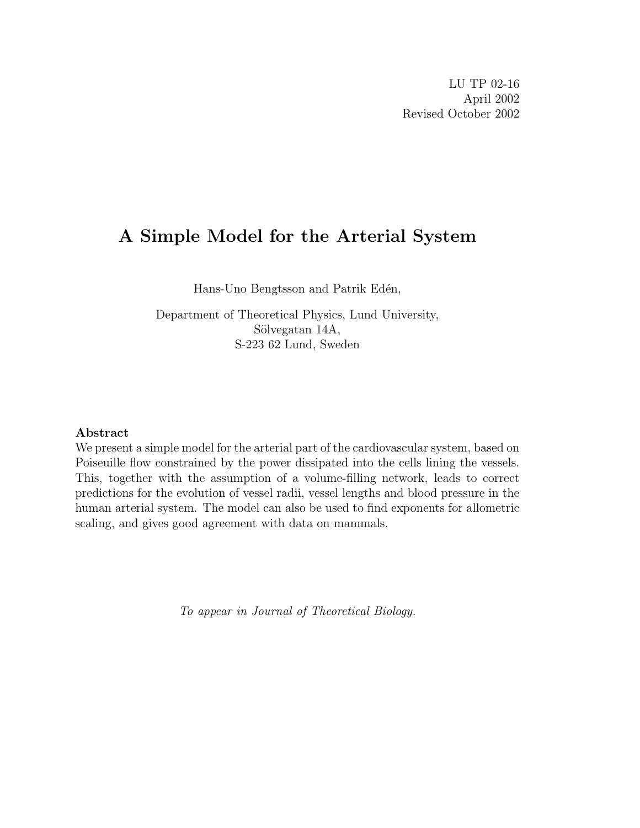# A Simple Model for the Arterial System

Hans-Uno Bengtsson and Patrik Edén,

Department of Theoretical Physics, Lund University, Sölvegatan 14A, S-223 62 Lund, Sweden

### Abstract

We present a simple model for the arterial part of the cardiovascular system, based on Poiseuille flow constrained by the power dissipated into the cells lining the vessels. This, together with the assumption of a volume-filling network, leads to correct predictions for the evolution of vessel radii, vessel lengths and blood pressure in the human arterial system. The model can also be used to find exponents for allometric scaling, and gives good agreement with data on mammals.

To appear in Journal of Theoretical Biology.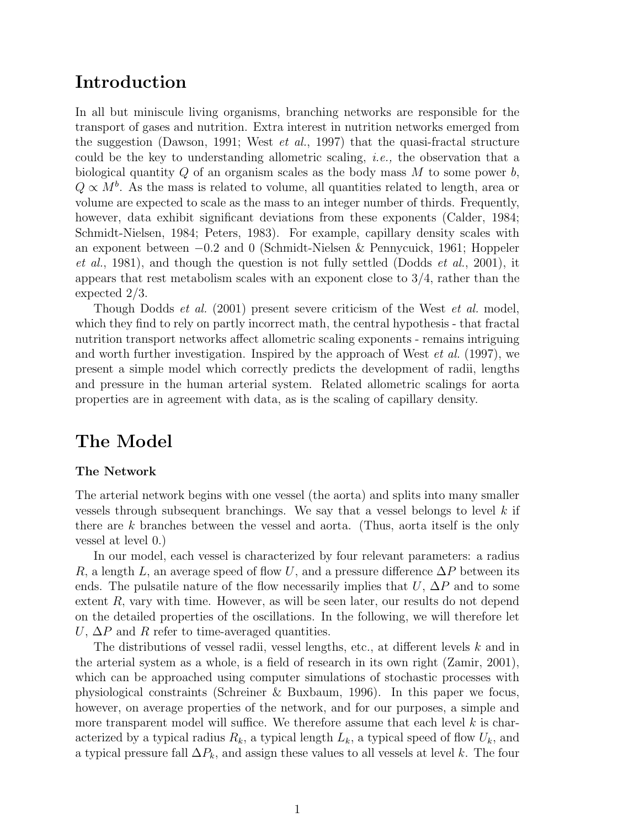## Introduction

In all but miniscule living organisms, branching networks are responsible for the transport of gases and nutrition. Extra interest in nutrition networks emerged from the suggestion (Dawson, 1991; West *et al.*, 1997) that the quasi-fractal structure could be the key to understanding allometric scaling, i.e., the observation that a biological quantity  $Q$  of an organism scales as the body mass  $M$  to some power  $b$ ,  $Q \propto M<sup>b</sup>$ . As the mass is related to volume, all quantities related to length, area or volume are expected to scale as the mass to an integer number of thirds. Frequently, however, data exhibit significant deviations from these exponents (Calder, 1984; Schmidt-Nielsen, 1984; Peters, 1983). For example, capillary density scales with an exponent between −0.2 and 0 (Schmidt-Nielsen & Pennycuick, 1961; Hoppeler *et al.*, 1981), and though the question is not fully settled (Dodds *et al.*, 2001), it appears that rest metabolism scales with an exponent close to 3/4, rather than the expected 2/3.

Though Dodds *et al.* (2001) present severe criticism of the West *et al.* model, which they find to rely on partly incorrect math, the central hypothesis - that fractal nutrition transport networks affect allometric scaling exponents - remains intriguing and worth further investigation. Inspired by the approach of West  $et al. (1997)$ , we present a simple model which correctly predicts the development of radii, lengths and pressure in the human arterial system. Related allometric scalings for aorta properties are in agreement with data, as is the scaling of capillary density.

# The Model

### The Network

The arterial network begins with one vessel (the aorta) and splits into many smaller vessels through subsequent branchings. We say that a vessel belongs to level  $k$  if there are k branches between the vessel and aorta. (Thus, aorta itself is the only vessel at level 0.)

In our model, each vessel is characterized by four relevant parameters: a radius R, a length L, an average speed of flow U, and a pressure difference  $\Delta P$  between its ends. The pulsatile nature of the flow necessarily implies that U,  $\Delta P$  and to some extent R, vary with time. However, as will be seen later, our results do not depend on the detailed properties of the oscillations. In the following, we will therefore let  $U, \Delta P$  and R refer to time-averaged quantities.

The distributions of vessel radii, vessel lengths, etc., at different levels k and in the arterial system as a whole, is a field of research in its own right (Zamir, 2001), which can be approached using computer simulations of stochastic processes with physiological constraints (Schreiner & Buxbaum, 1996). In this paper we focus, however, on average properties of the network, and for our purposes, a simple and more transparent model will suffice. We therefore assume that each level  $k$  is characterized by a typical radius  $R_k$ , a typical length  $L_k$ , a typical speed of flow  $U_k$ , and a typical pressure fall  $\Delta P_k$ , and assign these values to all vessels at level k. The four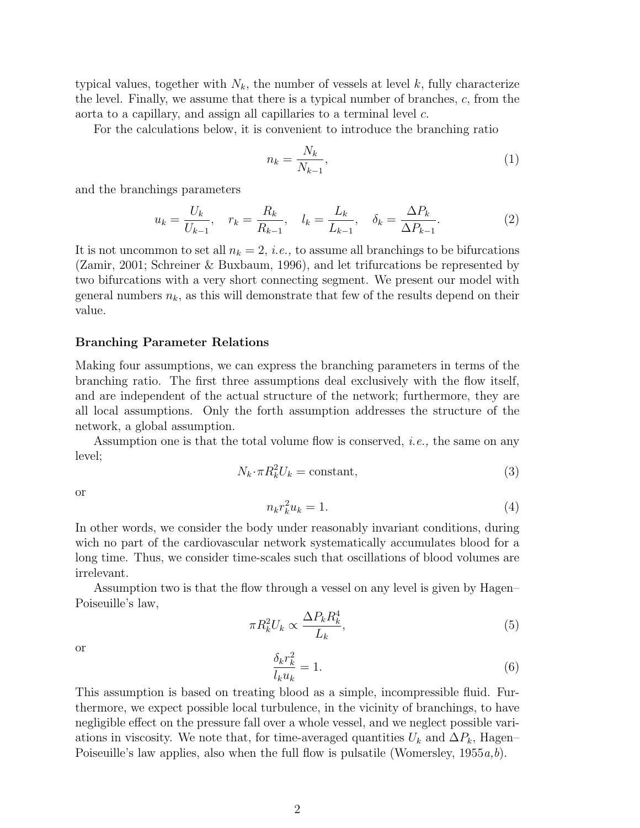typical values, together with  $N_k$ , the number of vessels at level k, fully characterize the level. Finally, we assume that there is a typical number of branches, c, from the aorta to a capillary, and assign all capillaries to a terminal level c.

For the calculations below, it is convenient to introduce the branching ratio

$$
n_k = \frac{N_k}{N_{k-1}},\tag{1}
$$

and the branchings parameters

$$
u_k = \frac{U_k}{U_{k-1}}, \quad r_k = \frac{R_k}{R_{k-1}}, \quad l_k = \frac{L_k}{L_{k-1}}, \quad \delta_k = \frac{\Delta P_k}{\Delta P_{k-1}}.
$$
 (2)

It is not uncommon to set all  $n_k = 2$ , *i.e.*, to assume all branchings to be bifurcations (Zamir, 2001; Schreiner & Buxbaum, 1996), and let trifurcations be represented by two bifurcations with a very short connecting segment. We present our model with general numbers  $n_k$ , as this will demonstrate that few of the results depend on their value.

### Branching Parameter Relations

Making four assumptions, we can express the branching parameters in terms of the branching ratio. The first three assumptions deal exclusively with the flow itself, and are independent of the actual structure of the network; furthermore, they are all local assumptions. Only the forth assumption addresses the structure of the network, a global assumption.

Assumption one is that the total volume flow is conserved, i.e., the same on any level;

$$
N_k \cdot \pi R_k^2 U_k = \text{constant},\tag{3}
$$

or

$$
n_k r_k^2 u_k = 1. \tag{4}
$$

In other words, we consider the body under reasonably invariant conditions, during wich no part of the cardiovascular network systematically accumulates blood for a long time. Thus, we consider time-scales such that oscillations of blood volumes are irrelevant.

Assumption two is that the flow through a vessel on any level is given by Hagen– Poiseuille's law,

$$
\pi R_k^2 U_k \propto \frac{\Delta P_k R_k^4}{L_k},\tag{5}
$$

or

$$
\frac{\delta_k r_k^2}{l_k u_k} = 1.
$$
\n<sup>(6)</sup>

This assumption is based on treating blood as a simple, incompressible fluid. Furthermore, we expect possible local turbulence, in the vicinity of branchings, to have negligible effect on the pressure fall over a whole vessel, and we neglect possible variations in viscosity. We note that, for time-averaged quantities  $U_k$  and  $\Delta P_k$ , Hagen– Poiseuille's law applies, also when the full flow is pulsatile (Womersley,  $1955a,b$ ).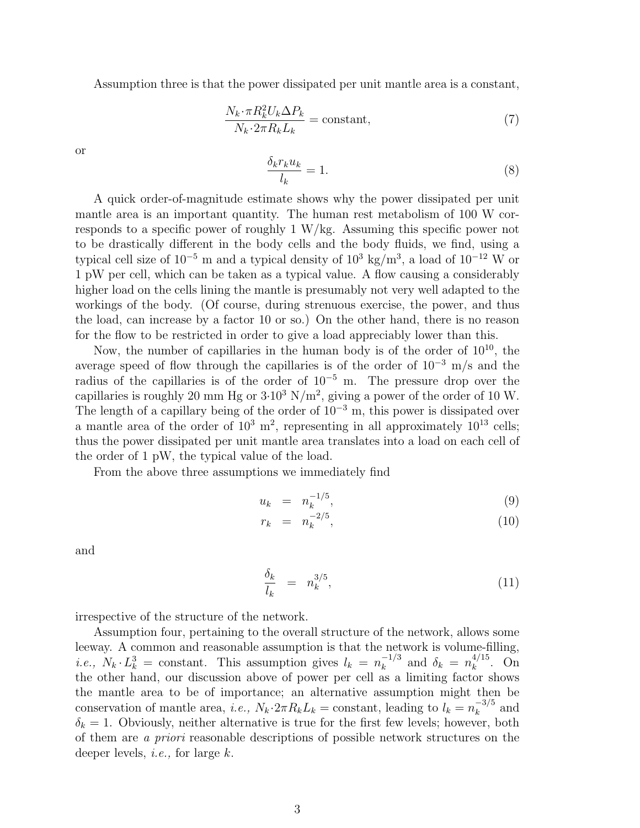Assumption three is that the power dissipated per unit mantle area is a constant,

$$
\frac{N_k \cdot \pi R_k^2 U_k \Delta P_k}{N_k \cdot 2\pi R_k L_k} = \text{constant},\tag{7}
$$

or

$$
\frac{\delta_k r_k u_k}{l_k} = 1.
$$
\n(8)

A quick order-of-magnitude estimate shows why the power dissipated per unit mantle area is an important quantity. The human rest metabolism of 100 W corresponds to a specific power of roughly 1 W/kg. Assuming this specific power not to be drastically different in the body cells and the body fluids, we find, using a typical cell size of  $10^{-5}$  m and a typical density of  $10^3$  kg/m<sup>3</sup>, a load of  $10^{-12}$  W or 1 pW per cell, which can be taken as a typical value. A flow causing a considerably higher load on the cells lining the mantle is presumably not very well adapted to the workings of the body. (Of course, during strenuous exercise, the power, and thus the load, can increase by a factor 10 or so.) On the other hand, there is no reason for the flow to be restricted in order to give a load appreciably lower than this.

Now, the number of capillaries in the human body is of the order of  $10^{10}$ , the average speed of flow through the capillaries is of the order of  $10^{-3}$  m/s and the radius of the capillaries is of the order of  $10^{-5}$  m. The pressure drop over the capillaries is roughly 20 mm Hg or  $3.10^3$  N/m<sup>2</sup>, giving a power of the order of 10 W. The length of a capillary being of the order of  $10^{-3}$  m, this power is dissipated over a mantle area of the order of  $10^3$  m<sup>2</sup>, representing in all approximately  $10^{13}$  cells; thus the power dissipated per unit mantle area translates into a load on each cell of the order of 1 pW, the typical value of the load.

From the above three assumptions we immediately find

$$
u_k = n_k^{-1/5}, \t\t(9)
$$

$$
r_k = n_k^{-2/5}, \t\t(10)
$$

and

$$
\frac{\delta_k}{l_k} = n_k^{3/5},\tag{11}
$$

irrespective of the structure of the network.

Assumption four, pertaining to the overall structure of the network, allows some leeway. A common and reasonable assumption is that the network is volume-filling, *i.e.*,  $N_k \cdot L_k^3$  = constant. This assumption gives  $l_k = n_k^{-1/3}$  $\kappa_k^{-1/3}$  and  $\delta_k = n_k^{4/15}$  $k^{4/15}$ . On the other hand, our discussion above of power per cell as a limiting factor shows the mantle area to be of importance; an alternative assumption might then be conservation of mantle area, i.e.,  $N_k \cdot 2\pi R_k L_k = \text{constant}$ , leading to  $l_k = n_k^{-3/5}$  $\frac{-3}{k}$  and  $\delta_k = 1$ . Obviously, neither alternative is true for the first few levels; however, both of them are a priori reasonable descriptions of possible network structures on the deeper levels, *i.e.*, for large  $k$ .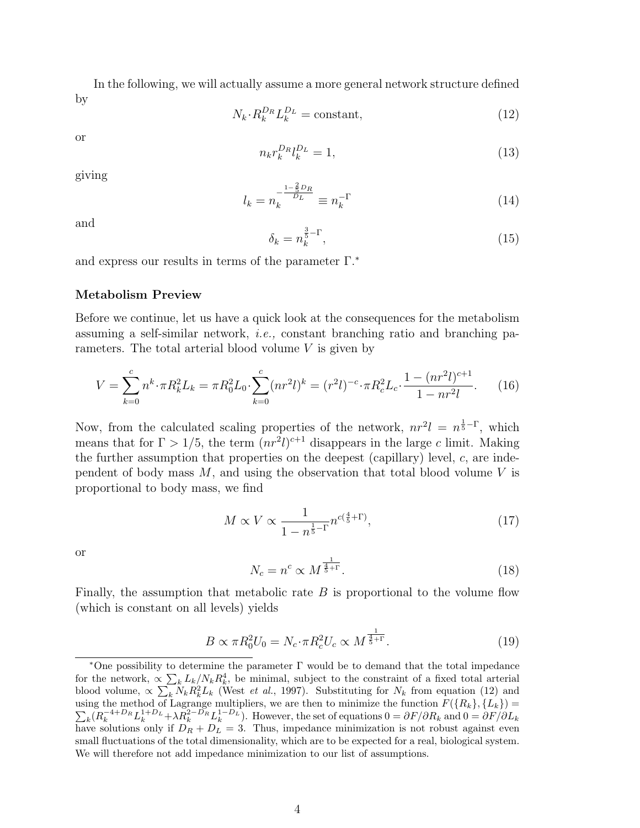In the following, we will actually assume a more general network structure defined by

$$
N_k \cdot R_k^{D_R} L_k^{D_L} = \text{constant},\tag{12}
$$

or

$$
n_k r_k^{D_R} l_k^{D_L} = 1,\t\t(13)
$$

giving

$$
l_k = n_k^{-\frac{1 - \frac{2}{5}D_R}{D_L}} \equiv n_k^{-\Gamma}
$$
\n(14)

and

$$
\delta_k = n_k^{\frac{3}{5} - \Gamma},\tag{15}
$$

and express our results in terms of the parameter  $\Gamma$ <sup>\*</sup>

### Metabolism Preview

Before we continue, let us have a quick look at the consequences for the metabolism assuming a self-similar network, i.e., constant branching ratio and branching parameters. The total arterial blood volume  $V$  is given by

$$
V = \sum_{k=0}^{c} n^{k} \cdot \pi R_{k}^{2} L_{k} = \pi R_{0}^{2} L_{0} \cdot \sum_{k=0}^{c} (n r^{2} l)^{k} = (r^{2} l)^{-c} \cdot \pi R_{c}^{2} L_{c} \cdot \frac{1 - (n r^{2} l)^{c+1}}{1 - n r^{2} l}.
$$
 (16)

Now, from the calculated scaling properties of the network,  $nr^2l = n^{\frac{1}{5}-\Gamma}$ , which means that for  $\Gamma > 1/5$ , the term  $(nr^2l)^{c+1}$  disappears in the large c limit. Making the further assumption that properties on the deepest (capillary) level,  $c$ , are independent of body mass  $M$ , and using the observation that total blood volume  $V$  is proportional to body mass, we find

$$
M \propto V \propto \frac{1}{1 - n^{\frac{1}{5} - \Gamma}} n^{c(\frac{4}{5} + \Gamma)},\tag{17}
$$

or

$$
N_c = n^c \propto M^{\frac{1}{\frac{4}{5}+\Gamma}}.\tag{18}
$$

Finally, the assumption that metabolic rate  $B$  is proportional to the volume flow (which is constant on all levels) yields

$$
B \propto \pi R_0^2 U_0 = N_c \cdot \pi R_c^2 U_c \propto M^{\frac{1}{\frac{4}{5}+\Gamma}}.
$$
 (19)

<sup>∗</sup>One possibility to determine the parameter Γ would be to demand that the total impedance P for the network,  $\propto \sum_{k} L_k/N_k R_k^4$ , be minimal, subject to the constraint of a fixed total arterial blood volume,  $\propto \sum_k N_k R_k^2 L_k$  (West *et al.*, 1997). Substituting for  $N_k$  from equation (12) and using the method of Lagrange multipliers, we are then to minimize the function  $F({R_k}, {L_k}) = \sum_{n=1}^{\infty} (n=4+D_{k-1}+D_{k-1})n^2-D_{k-1}+D_{k-1}+D_{k-1}+D_{k-1}+D_{k-1}+D_{k-1}+D_{k-1}+D_{k-1}+D_{k-1}+D_{k-1}+D_{k-1}+D_{k-1}+D_{k-1}+D_{k-1}+$  $k(R_k^{-4+D_R}L_k^{1+D_L} + \lambda R_k^{2-D_R}L_k^{1-D_L})$ . However, the set of equations  $0 = \partial F/\partial R_k$  and  $0 = \partial F/\partial L_k$ have solutions only if  $D_R + D_L = 3$ . Thus, impedance minimization is not robust against even small fluctuations of the total dimensionality, which are to be expected for a real, biological system. We will therefore not add impedance minimization to our list of assumptions.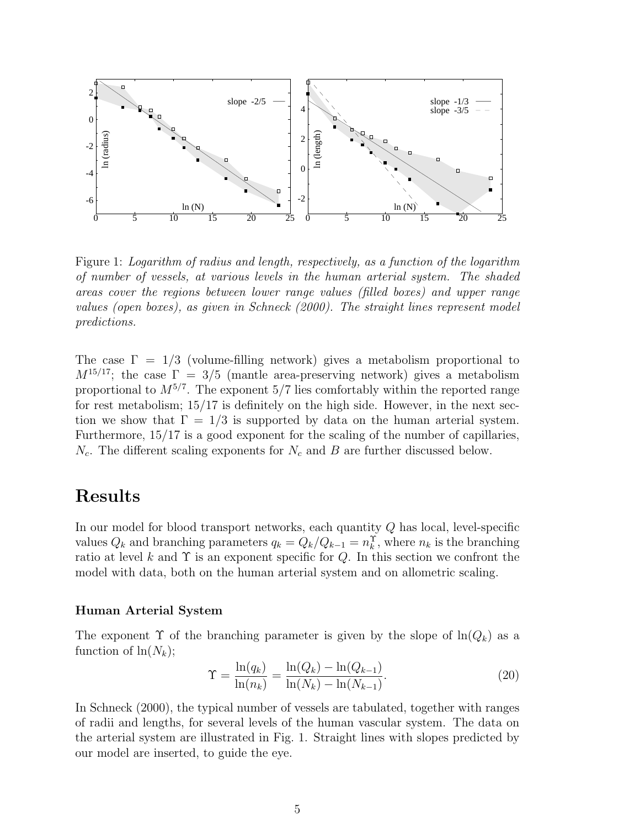

Figure 1: Logarithm of radius and length, respectively, as a function of the logarithm of number of vessels, at various levels in the human arterial system. The shaded areas cover the regions between lower range values (filled boxes) and upper range values (open boxes), as given in Schneck (2000). The straight lines represent model predictions.

The case  $\Gamma = 1/3$  (volume-filling network) gives a metabolism proportional to  $M^{15/17}$ ; the case  $\Gamma = 3/5$  (mantle area-preserving network) gives a metabolism proportional to  $M^{5/7}$ . The exponent 5/7 lies comfortably within the reported range for rest metabolism; 15/17 is definitely on the high side. However, in the next section we show that  $\Gamma = 1/3$  is supported by data on the human arterial system. Furthermore, 15/17 is a good exponent for the scaling of the number of capillaries,  $N_c$ . The different scaling exponents for  $N_c$  and B are further discussed below.

# Results

In our model for blood transport networks, each quantity Q has local, level-specific values  $Q_k$  and branching parameters  $q_k = Q_k/Q_{k-1} = n_k^{\Upsilon}$ , where  $n_k$  is the branching ratio at level k and  $\Upsilon$  is an exponent specific for Q. In this section we confront the model with data, both on the human arterial system and on allometric scaling.

### Human Arterial System

The exponent  $\Upsilon$  of the branching parameter is given by the slope of  $\ln(Q_k)$  as a function of  $\ln(N_k)$ ;

$$
\Upsilon = \frac{\ln(q_k)}{\ln(n_k)} = \frac{\ln(Q_k) - \ln(Q_{k-1})}{\ln(N_k) - \ln(N_{k-1})}.
$$
\n(20)

In Schneck (2000), the typical number of vessels are tabulated, together with ranges of radii and lengths, for several levels of the human vascular system. The data on the arterial system are illustrated in Fig. 1. Straight lines with slopes predicted by our model are inserted, to guide the eye.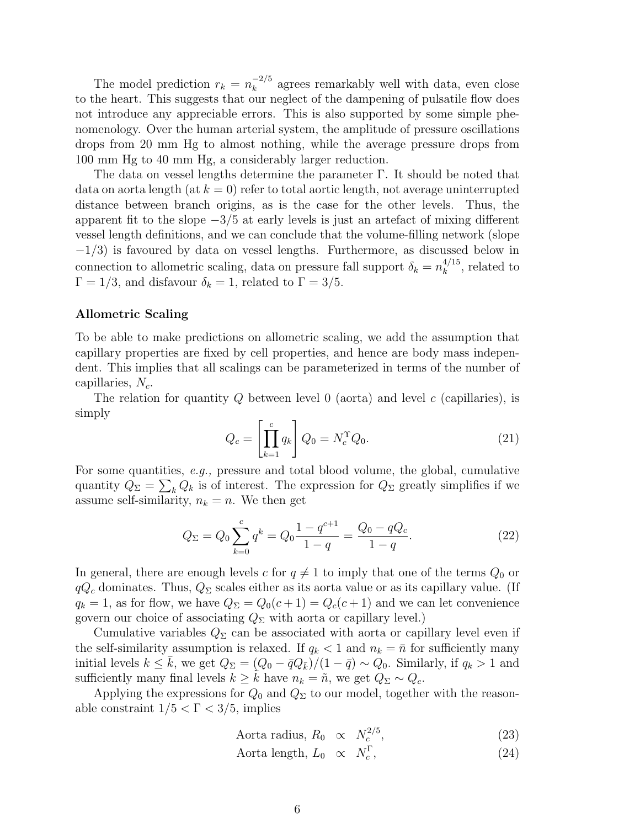The model prediction  $r_k = n_k^{-2/5}$  $k_k^{-2/5}$  agrees remarkably well with data, even close to the heart. This suggests that our neglect of the dampening of pulsatile flow does not introduce any appreciable errors. This is also supported by some simple phenomenology. Over the human arterial system, the amplitude of pressure oscillations drops from 20 mm Hg to almost nothing, while the average pressure drops from 100 mm Hg to 40 mm Hg, a considerably larger reduction.

The data on vessel lengths determine the parameter Γ. It should be noted that data on aorta length (at  $k = 0$ ) refer to total aortic length, not average uninterrupted distance between branch origins, as is the case for the other levels. Thus, the apparent fit to the slope  $-3/5$  at early levels is just an artefact of mixing different vessel length definitions, and we can conclude that the volume-filling network (slope  $-1/3$ ) is favoured by data on vessel lengths. Furthermore, as discussed below in connection to allometric scaling, data on pressure fall support  $\delta_k = n_k^{4/15}$  $\frac{4}{k}$ , related to  $\Gamma = 1/3$ , and disfavour  $\delta_k = 1$ , related to  $\Gamma = 3/5$ .

### Allometric Scaling

To be able to make predictions on allometric scaling, we add the assumption that capillary properties are fixed by cell properties, and hence are body mass independent. This implies that all scalings can be parameterized in terms of the number of capillaries,  $N_c$ .

The relation for quantity  $Q$  between level  $0$  (aorta) and level  $c$  (capillaries), is simply  $\overline{a}$ 

$$
Q_c = \left[\prod_{k=1}^c q_k\right] Q_0 = N_c^{\Upsilon} Q_0.
$$
\n(21)

For some quantities, *e.g.*, pressure and total blood volume, the global, cumulative quantity  $Q_{\Sigma} = \sum_{k} Q_k$  is of interest. The expression for  $Q_{\Sigma}$  greatly simplifies if we assume self-similarity,  $n_k = n$ . We then get

$$
Q_{\Sigma} = Q_0 \sum_{k=0}^{c} q^k = Q_0 \frac{1 - q^{c+1}}{1 - q} = \frac{Q_0 - qQ_c}{1 - q}.
$$
 (22)

In general, there are enough levels c for  $q \neq 1$  to imply that one of the terms  $Q_0$  or  $qQ_c$  dominates. Thus,  $Q_{\Sigma}$  scales either as its aorta value or as its capillary value. (If  $q_k = 1$ , as for flow, we have  $Q_{\Sigma} = Q_0(c+1) = Q_c(c+1)$  and we can let convenience govern our choice of associating  $Q_{\Sigma}$  with aorta or capillary level.)

Cumulative variables  $Q_{\Sigma}$  can be associated with aorta or capillary level even if the self-similarity assumption is relaxed. If  $q_k < 1$  and  $n_k = \bar{n}$  for sufficiently many initial levels  $k \leq k$ , we get  $Q_{\Sigma} = (Q_0 - \bar{q}Q_{\bar{k}})/(1 - \bar{q}) \sim Q_0$ . Similarly, if  $q_k > 1$  and sufficiently many final levels  $k \geq \tilde{k}$  have  $n_k = \tilde{n}$ , we get  $Q_{\Sigma} \sim Q_c$ .

Applying the expressions for  $Q_0$  and  $Q_\Sigma$  to our model, together with the reasonable constraint  $1/5 < \Gamma < 3/5$ , implies

Aorta radius, 
$$
R_0 \propto N_c^{2/5}
$$
, (23)

$$
Aorta length, L_0 \propto N_c^{\Gamma}, \tag{24}
$$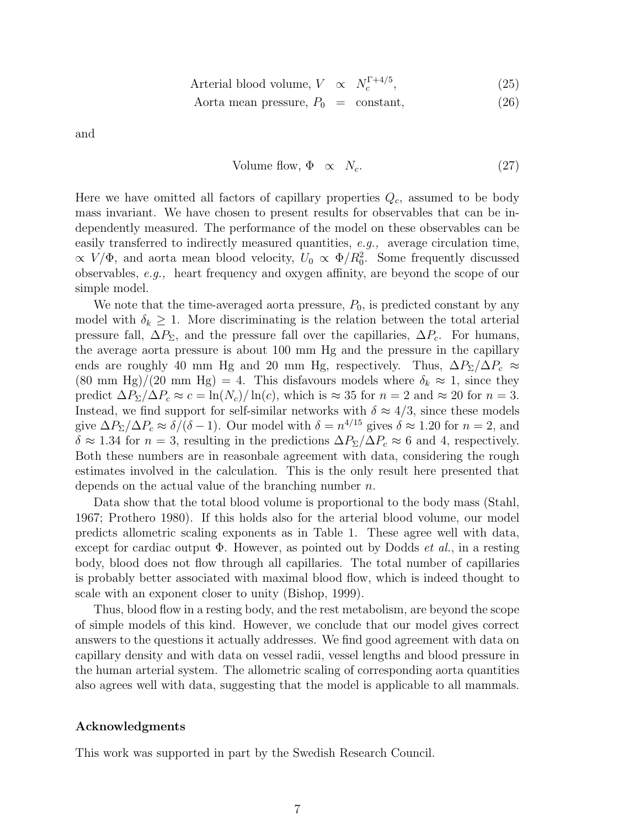$$
Arterial blood volume, V \propto N_c^{\Gamma + 4/5}, \tag{25}
$$

$$
Aorta mean pressure, P_0 = constant,
$$
\n(26)

and

Volume flow, 
$$
\Phi \propto N_c.
$$
 (27)

Here we have omitted all factors of capillary properties  $Q_c$ , assumed to be body mass invariant. We have chosen to present results for observables that can be independently measured. The performance of the model on these observables can be easily transferred to indirectly measured quantities, e.g., average circulation time,  $\propto V/\Phi$ , and aorta mean blood velocity,  $U_0 \propto \Phi/R_0^2$ . Some frequently discussed observables, e.g., heart frequency and oxygen affinity, are beyond the scope of our simple model.

We note that the time-averaged aorta pressure,  $P_0$ , is predicted constant by any model with  $\delta_k \geq 1$ . More discriminating is the relation between the total arterial pressure fall,  $\Delta P_{\Sigma}$ , and the pressure fall over the capillaries,  $\Delta P_c$ . For humans, the average aorta pressure is about 100 mm Hg and the pressure in the capillary ends are roughly 40 mm Hg and 20 mm Hg, respectively. Thus,  $\Delta P_{\Sigma}/\Delta P_c \approx$  $(80 \text{ mm Hg})/(20 \text{ mm Hg}) = 4$ . This disfavours models where  $\delta_k \approx 1$ , since they predict  $\Delta P_{\Sigma}/\Delta P_c \approx c = \ln(N_c)/\ln(c)$ , which is  $\approx 35$  for  $n = 2$  and  $\approx 20$  for  $n = 3$ . Instead, we find support for self-similar networks with  $\delta \approx 4/3$ , since these models give  $\Delta P_{\Sigma}/\Delta P_c \approx \delta/(\delta - 1)$ . Our model with  $\delta = n^{4/15}$  gives  $\delta \approx 1.20$  for  $n = 2$ , and  $\delta \approx 1.34$  for  $n = 3$ , resulting in the predictions  $\Delta P_{\Sigma}/\Delta P_c \approx 6$  and 4, respectively. Both these numbers are in reasonbale agreement with data, considering the rough estimates involved in the calculation. This is the only result here presented that depends on the actual value of the branching number  $n$ .

Data show that the total blood volume is proportional to the body mass (Stahl, 1967; Prothero 1980). If this holds also for the arterial blood volume, our model predicts allometric scaling exponents as in Table 1. These agree well with data, except for cardiac output  $\Phi$ . However, as pointed out by Dodds *et al.*, in a resting body, blood does not flow through all capillaries. The total number of capillaries is probably better associated with maximal blood flow, which is indeed thought to scale with an exponent closer to unity (Bishop, 1999).

Thus, blood flow in a resting body, and the rest metabolism, are beyond the scope of simple models of this kind. However, we conclude that our model gives correct answers to the questions it actually addresses. We find good agreement with data on capillary density and with data on vessel radii, vessel lengths and blood pressure in the human arterial system. The allometric scaling of corresponding aorta quantities also agrees well with data, suggesting that the model is applicable to all mammals.

#### Acknowledgments

This work was supported in part by the Swedish Research Council.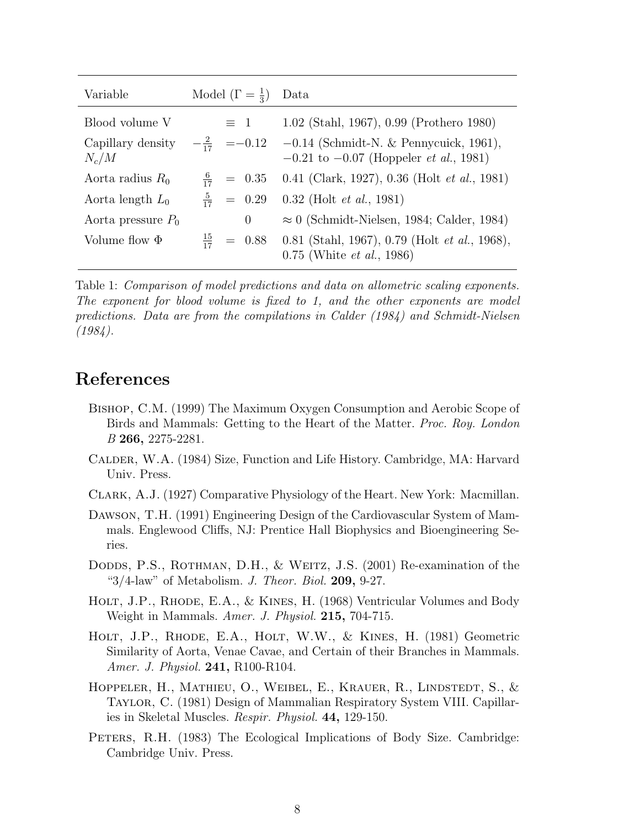| Variable                     | Model $(\Gamma = \frac{1}{3})$ | Data                                                                                                                 |
|------------------------------|--------------------------------|----------------------------------------------------------------------------------------------------------------------|
| Blood volume V               | $\equiv$ 1                     | 1.02 (Stahl, 1967), 0.99 (Prothero 1980)                                                                             |
| Capillary density<br>$N_c/M$ |                                | $-\frac{2}{17}$ = -0.12 -0.14 (Schmidt-N. & Pennycuick, 1961),<br>$-0.21$ to $-0.07$ (Hoppeler <i>et al.</i> , 1981) |
| Aorta radius $R_0$           | $\frac{6}{17}$ = 0.35          | $0.41$ (Clark, 1927), 0.36 (Holt <i>et al.</i> , 1981)                                                               |
| Aorta length $L_0$           | $\frac{5}{17}$ = 0.29          | $0.32$ (Holt <i>et al.</i> , 1981)                                                                                   |
| Aorta pressure $P_0$         | $\overline{0}$                 | $\approx 0$ (Schmidt-Nielsen, 1984; Calder, 1984)                                                                    |
| Volume flow $\Phi$           | $\frac{15}{17}$ = 0.88         | $0.81$ (Stahl, 1967), 0.79 (Holt <i>et al.</i> , 1968),<br>$0.75$ (White <i>et al.</i> , 1986)                       |

Table 1: Comparison of model predictions and data on allometric scaling exponents. The exponent for blood volume is fixed to 1, and the other exponents are model predictions. Data are from the compilations in Calder (1984) and Schmidt-Nielsen (1984).

## References

- Bishop, C.M. (1999) The Maximum Oxygen Consumption and Aerobic Scope of Birds and Mammals: Getting to the Heart of the Matter. Proc. Roy. London B 266, 2275-2281.
- Calder, W.A. (1984) Size, Function and Life History. Cambridge, MA: Harvard Univ. Press.
- Clark, A.J. (1927) Comparative Physiology of the Heart. New York: Macmillan.
- Dawson, T.H. (1991) Engineering Design of the Cardiovascular System of Mammals. Englewood Cliffs, NJ: Prentice Hall Biophysics and Bioengineering Series.
- DODDS, P.S., ROTHMAN, D.H., & WEITZ, J.S. (2001) Re-examination of the " $3/4$ -law" of Metabolism. J. Theor. Biol. 209, 9-27.
- HOLT, J.P., RHODE, E.A., & KINES, H. (1968) Ventricular Volumes and Body Weight in Mammals. Amer. J. Physiol. 215, 704-715.
- Holt, J.P., Rhode, E.A., Holt, W.W., & Kines, H. (1981) Geometric Similarity of Aorta, Venae Cavae, and Certain of their Branches in Mammals. Amer. J. Physiol. 241, R100-R104.
- HOPPELER, H., MATHIEU, O., WEIBEL, E., KRAUER, R., LINDSTEDT, S., & Taylor, C. (1981) Design of Mammalian Respiratory System VIII. Capillaries in Skeletal Muscles. Respir. Physiol. 44, 129-150.
- PETERS, R.H. (1983) The Ecological Implications of Body Size. Cambridge: Cambridge Univ. Press.